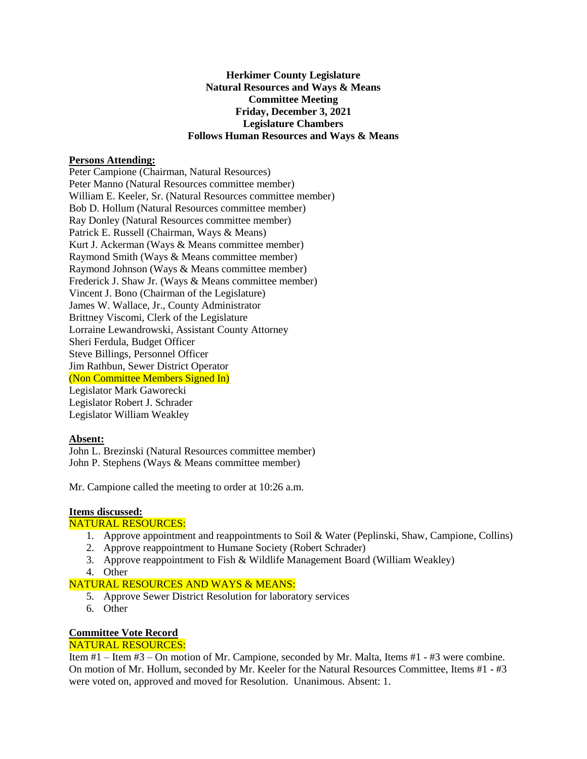#### **Herkimer County Legislature Natural Resources and Ways & Means Committee Meeting Friday, December 3, 2021 Legislature Chambers Follows Human Resources and Ways & Means**

#### **Persons Attending:**

Peter Campione (Chairman, Natural Resources) Peter Manno (Natural Resources committee member) William E. Keeler, Sr. (Natural Resources committee member) Bob D. Hollum (Natural Resources committee member) Ray Donley (Natural Resources committee member) Patrick E. Russell (Chairman, Ways & Means) Kurt J. Ackerman (Ways & Means committee member) Raymond Smith (Ways & Means committee member) Raymond Johnson (Ways & Means committee member) Frederick J. Shaw Jr. (Ways & Means committee member) Vincent J. Bono (Chairman of the Legislature) James W. Wallace, Jr., County Administrator Brittney Viscomi, Clerk of the Legislature Lorraine Lewandrowski, Assistant County Attorney Sheri Ferdula, Budget Officer Steve Billings, Personnel Officer Jim Rathbun, Sewer District Operator (Non Committee Members Signed In) Legislator Mark Gaworecki Legislator Robert J. Schrader Legislator William Weakley

#### **Absent:**

John L. Brezinski (Natural Resources committee member) John P. Stephens (Ways & Means committee member)

Mr. Campione called the meeting to order at 10:26 a.m.

## **Items discussed:**

## NATURAL RESOURCES:

- 1. Approve appointment and reappointments to Soil & Water (Peplinski, Shaw, Campione, Collins)
- 2. Approve reappointment to Humane Society (Robert Schrader)
- 3. Approve reappointment to Fish & Wildlife Management Board (William Weakley)
- 4. Other

## NATURAL RESOURCES AND WAYS & MEANS:

- 5. Approve Sewer District Resolution for laboratory services
- 6. Other

# **Committee Vote Record**

## NATURAL RESOURCES:

Item #1 – Item #3 – On motion of Mr. Campione, seconded by Mr. Malta, Items #1 - #3 were combine. On motion of Mr. Hollum, seconded by Mr. Keeler for the Natural Resources Committee, Items #1 - #3 were voted on, approved and moved for Resolution. Unanimous. Absent: 1.